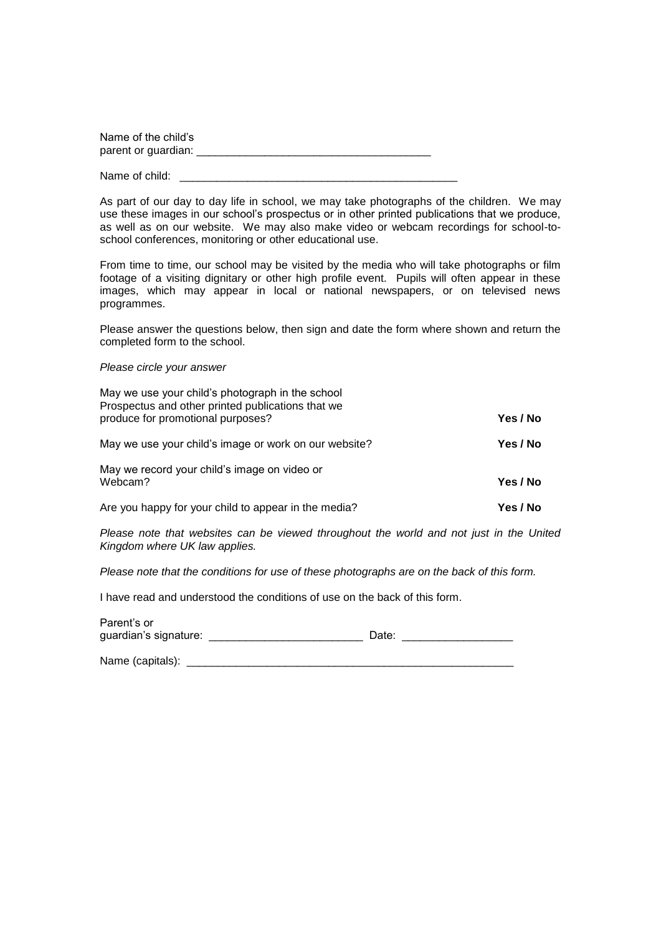| Name of the child's |  |
|---------------------|--|
| parent or guardian: |  |

Name of child:

As part of our day to day life in school, we may take photographs of the children. We may use these images in our school's prospectus or in other printed publications that we produce, as well as on our website. We may also make video or webcam recordings for school-toschool conferences, monitoring or other educational use.

From time to time, our school may be visited by the media who will take photographs or film footage of a visiting dignitary or other high profile event. Pupils will often appear in these images, which may appear in local or national newspapers, or on televised news programmes.

Please answer the questions below, then sign and date the form where shown and return the completed form to the school.

*Please circle your answer*

| May we use your child's photograph in the school<br>Prospectus and other printed publications that we |          |
|-------------------------------------------------------------------------------------------------------|----------|
| produce for promotional purposes?                                                                     | Yes / No |
| May we use your child's image or work on our website?                                                 | Yes / No |
| May we record your child's image on video or<br>Webcam?                                               | Yes / No |
| Are you happy for your child to appear in the media?                                                  | Yes / No |

*Please note that websites can be viewed throughout the world and not just in the United Kingdom where UK law applies.*

*Please note that the conditions for use of these photographs are on the back of this form.*

I have read and understood the conditions of use on the back of this form.

| Parent's or           |       |
|-----------------------|-------|
| guardian's signature: | Date: |
|                       |       |

| Name (capitals): |  |
|------------------|--|
|                  |  |
|                  |  |
|                  |  |